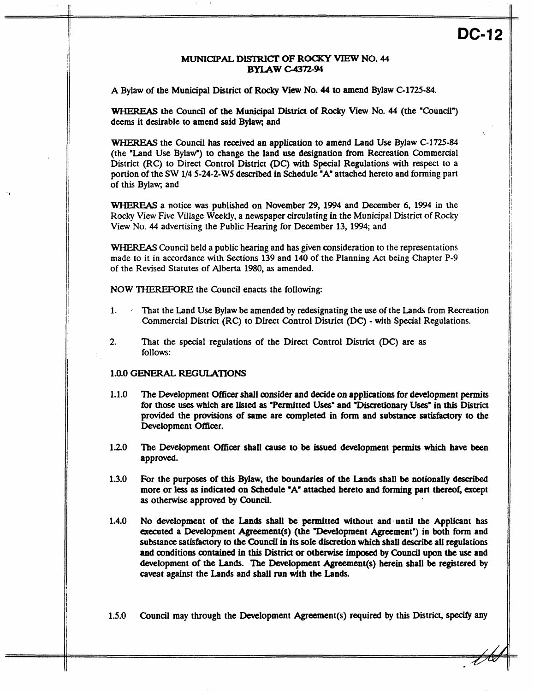# DC-12

## **MUNICIPAL DISTRICT OF ROCKY VIEW NO. 44 BYLAW -372-94**

**A** Bylaw of the Municipal **District** of **Rocky** View No. **44** to **amend** Bylaw **C-1725-84.** 

WHEREAS the Council of the Municipal District of **Rocky View** No. **44 (the** "Council") deems it desirable to amend said Bylaw; and

WHEREAS the **Council** has received an application to amend Land **Use** Bylaw **C-1725-84**  (the "Land **Use** Bylaw") to change the land use designation from Recreation Commercial District (RC) to Direct Control District *(DC)* with Special Regulations with respect to a portion of the **SW 114 5-24-2-W5** described in Schedule **"A'** attached hereto and forming part of this Bylaw; and

WHEREAS a notice **was** published **on** November *29,* **1994** and December 6, **1994** in the **Rocky** View Five Village **Weekly,** a newspaper circulating in the Municipal District *of* Rocky View No. **44** advertising the Public Hearing for December 13, **1994;** and

WHEREAS Council held a public hearing and **has** given consideration to the representations made to it in accordance with Sections **139** and **140** of the Planning Act being Chapter **P-9**  of the Revised Statutes of Alberta 1980, **as** amended.

**NOW** THEREFORE the Council enacts the following:

- **1.** . That the Land Use Bylaw **be** amended by redesignating the use *of* the Lands from Recreation Commercial District (RC) to Direct Control District (DC) - with Special Regulations.
- **2.** That the special regulations of the Direct Control District *@C)* are **as**  follows:

#### **1.0.0** GENERAL REGULATIONS

- **1.1.0**  The Development **Offioer** shall consider and decide **on** applications for development **permits**  for those **uses** which are listed **as** "Permitted **Uses"** and "Disaetionary **Uses"** in **this** District provided the provisions of same are completed in form and **substance** satisfactory to the Development Officer.
- **1.20**  The Development Officer shall *cause* to **be** issued development **permits** which **have** been approved.
- **13.0**  For the purposes of this Bylaw, the boundaries of the **Lands** shall **be** notionally **described**  more or **less as** indicated **on** Schedule **"A"** attacbed hereto and **forming part** thereof, except **as** otherwise approved **by Council.**
- **1.4.0 No** development of the **Lands shall be** permitted without **andmtil the** Applicant has executed a Development Agreement(s) (the "Development Agreement") in both form and **substance satisfactory** to the **Council in** its sole discretion which shaU describe **all** regulations and amditions oontained **in** this District or **otherwise** imposed by Council upon **the** use and development of the Lands. The Development Agreement(s) herein shall be registered by caveat against the **Lands** and shall **run** with the **Lands.**

**1.5.0**  Council may through the Development Agreement(s) required **by this** District, **specify** any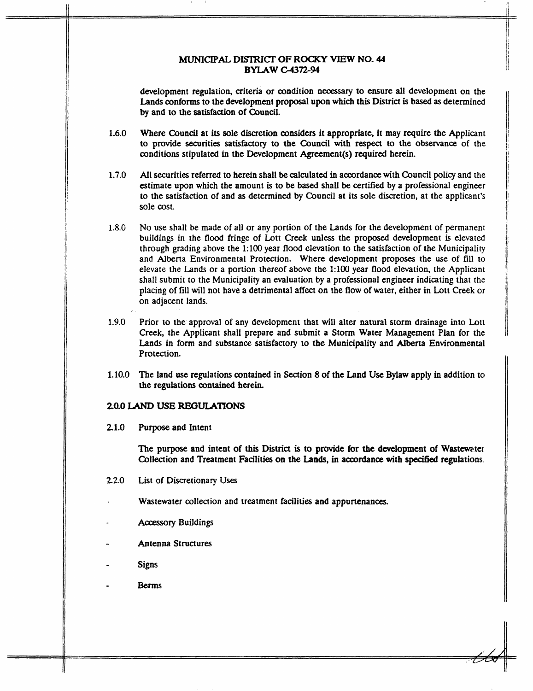#### **MUNICIPAL DISTRICT OF ROCKY VIEW NO. 44 BYLAW -372-94**

development regulation, criteria or oondition **necessary** to ensure all development on the Lands conforms to the development proposal upon which *this* District is based **as** determined **by** and to **the** satisfaction **of Council.** 

'I 111 an Dùbhlachadh an Dùbhlachadh ann an Dùbhlachadh ann an Dùbhlachadh an Dùbhlachadh an Dùbhlachadh an Dùb

li<br>|-

- **1.6.0**  Where Council at its sole discretion considers it appropriate, it may require the Applicant **to** provide securities satisfactory to the Council with respect to the observance of the conditions stipulated in the Development Agreement(s) required herein.
- **1.7.0**  All securities referred to herein shall **be** calculated in accordance with Council policy and the estimate upon which the amount is to **be based** shall **be** certified by **a** professional engineer to the satisfaction of and **as** determined by Council at its sole discretion, at the applicant's sole cost.
- **1.8.0**  No use shall be made of all or any portion of the Lands for the development of permanent buildings in the **flood** fringe of Lott Creek unless the proposed development is elevated through grading above the **1:lOO** year flood elevation to the satisfaction of the Municipality and Alberta Environmental Protection. Where development proposes the use of fill to elevate the Lands or a portion thereof above the **1:lOO** year flood elevation, the Applicant shall submit to the Municipality an evaluation **by** a professional engineer indicating that the placing of fill will not have **a** detrimental affect on the **flow** of water, either in Lott Creek or on adjacent lands.
- **1.9.0**  Prior to the approval of any development that will alter natural storm drainage into Lott Creek, the Applicant shall prepare and submit **a** Storm Water Management **Plan** for the **Lands** in form and **substance** satisfactory to the Municipality and **Alberta** Environmental Protection.
- **1.10.0**  Tbe land use regulations wntained in Section *8* of the Land **Use** Bylaw apply in addition to **the** regulations contained herein.

#### *20.0* LAND **USE REGULATIONS**

**21.0 Purpose** and Intent

> The purpose and intent of this District is to provide for the development of Wastewater Collection and Treatment Facilities on **the Lands,** in accordance with **specitid** regulations.

- 22.0 List **of** Discretionary **Uses**
- Wastewater collection and treatment facilities and appurtenances.
- **Accessory** Buildings
- **L**  Antenna Structures
- Signs
- **Berms**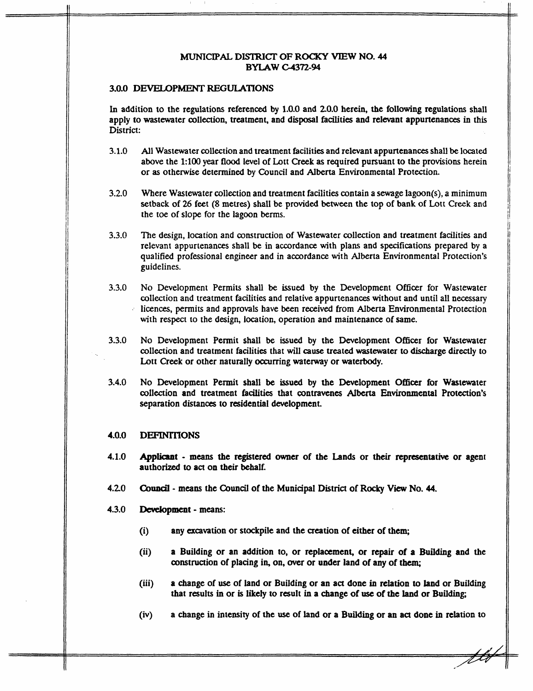#### MUNICIPAL **DISTRICT' OF ROCKY VIEW NO. 44 BYLAW C-4372-94**

#### **3.0.0 DFvEIlOPMENT REGULATIONS**

In addition to the regulations referenced **by** 1.0.0 and 20.0 herein, the following regulations shall apply to wastewater collection, treatment, and disposal facilities and relevant appurtenances in this District:

- **3.1.0**  All Wastewater collection and treatment facilities and relevant appurtenances shall **be** located above the **1:lOO** year **flood** level of Lott **Creek as** required pursuant to the provisions herein or **as** otherwise determined **by** Council and **Alberta** Environmental Protection.
- **3.2.0**  Where Wastewater collection and treatment facilities contain a sewage lagoon(s), a minimum setback of 26 feet (8 metres) shall be provided between the top of bank of Lott **Creek and**  the toe of slope for the lagoon **berms.**
- **3.3.0**  The design, location and construction of Wastewater collection and treatment facilities and relevant appurtenances shall be in accordance with plans and specifications prepared **by a**  qualified professional engineer and in accordance with Alberta Environmental Protection's guidelines.
- **3.3.0**  No Development Permits shall **be** issued **by** the Development Officer for Wastewater collection and treatment facilities and relative appurtenances without and until all necessary licences, permits and approvals have been received from **Alberta** Environmental Protection with respect to the design, location, operation and maintenance of same.
- **3.3.0**  No Development Permit shall **be** issued **by** the Development **Officer** for Wastewater collection and treatment facilities that will **cause** treated wastewater **to** discharge **directly** to Lott Creek or other naturally occurring waterway or waterbody.
- **3.4.0**  No Development Permit shall **be issued by** the Development **Officer** for Wastewater collection and treatment facilities that contravenes Alberta Environmental Protection's separation **distances** to residential development.

#### **4.0.0 DEFINITIONS**

- **4.1.0 Appiiamt** - **means the** registered Owner of the **Lands** or **their** representative or agent authorized **to** act **on** their behalf.
- **4.20 Council** - **means** the **Council** of the Municipal **District** of **Rocky View No. 44.**
- **4.3.0 lkvelopment** - **means:** 
	- (i) any **excavation** or stockpile and the **creation of** either **of** them
	- (ii) **a** Building or an addition to, or replacement, or repair of **a Building** and the construction **of** placing in, on, Over or under land of any of them;
	- (iii) a change of use of land or Building or **an act** done in relation **to** land or Building that results in or **is** likely *to* result in a change of *use* of **the** land or **Building;**
	- (iv) **a** change in intensity of the use of **land** or **a** Building **or** an **act** done in relation **to**

ttv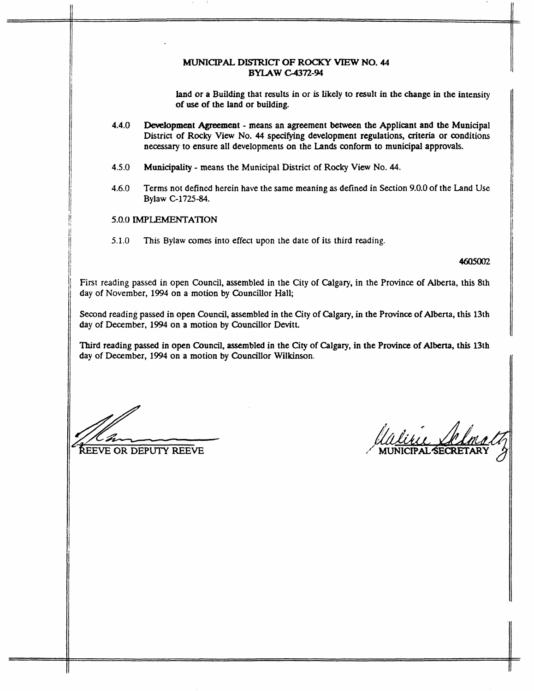#### MUMCXPAL **DISTRICT OF ROCKY VIEW NO. 44 BYLAW -372-94**

land or **a** Building that results in or **is** likely to result in the change in the intensity of *use* of the land or building.

- 4.4.0 **Development Agreement means an agreement between the Applicant and the Municipal** District of **Rocky** View No. **44 specifying** development regulations, criteria or conditions **necessary** to ensure all developments on the Lands conform **to** municipal approvals.
- **4.5.0 Municipality means** the Municipal District of **Rocky** View **No. 44.**
- **4.6.0** Terms not defined herein have the same meaning **as** defined in Section 9.0.0 of the Land Use Bylaw **C-1725-84.**

## *5.0.0* **IMPLEMENTATION**

51.0 This Bylaw comes into effect upon the date of its third reading.

#### 4605002

First reading passed in open Council, assembled in the City of Calgary, in the Province of Alberta, this 8th day of November, **1994** on a motion by Councillor Hall;

Second reading passed in open Council, assembled in the City of Calgary, in the Province of Alberta, this 13th day of December, **1994** on a motion by Councillor Devitt.

Third reading **passed** in open Council, assembled in the City of **Calgary,** in the Province of Alberta, this 13th clay of December, **1994** on **a** motion **by** Councillor Wilkinson.

**%EVE OR DEPUTY REEVE**